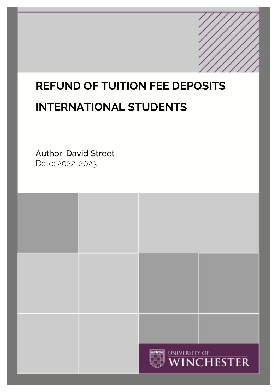# **REFUND OF TUITION FEE DEPOSITS INTERNATIONAL STUDENTS**

Author: David Street Date: 2022-2023

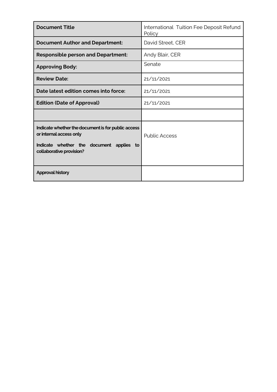| <b>Document Title</b>                                                                                                                                 | International Tuition Fee Deposit Refund<br>Policy |
|-------------------------------------------------------------------------------------------------------------------------------------------------------|----------------------------------------------------|
| <b>Document Author and Department:</b>                                                                                                                | David Street, CER                                  |
| <b>Responsible person and Department:</b>                                                                                                             | Andy Blair, CER                                    |
| <b>Approving Body:</b>                                                                                                                                | Senate                                             |
| <b>Review Date:</b>                                                                                                                                   | 21/11/2021                                         |
| Date latest edition comes into force:                                                                                                                 | 21/11/2021                                         |
| <b>Edition (Date of Approval)</b>                                                                                                                     | 21/11/2021                                         |
|                                                                                                                                                       |                                                    |
| Indicate whether the document is for public access<br>or internal access only<br>Indicate whether the document applies to<br>collaborative provision? | <b>Public Access</b>                               |
| <b>Approval history</b>                                                                                                                               |                                                    |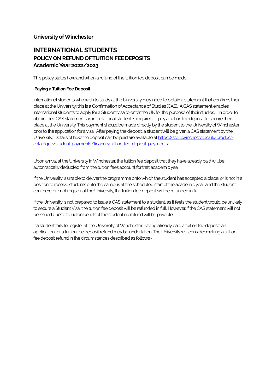## **University of Winchester**

# **INTERNATIONAL STUDENTS POLICY ON REFUND OF TUITION FEE DEPOSITS Academic Year 2022/2023**

This policy states how and when a refund of the tuition fee deposit can be made.

#### **Paying a Tuition Fee Deposit**

International students who wish to study at the University may need to obtain a statement that confirms their place at the University; this is a Confirmation of Acceptance of Studies (CAS). A CAS statement enables international students to apply for a Student visa to enter the UK for the purpose of their studies. In order to obtain their CAS statement, an international student is required to pay a tuition fee deposit to secure their place at the University. This payment should be made directly by the student to the University of Winchester prior to the application for a visa. After paying the deposit, a student will be given a CAS statement by the Universi[t](http://www.winchester.ac.uk/startinghere/Students%20and%20money/howdoipay4/international5/Pages/International4.aspx)y. Details of how the deposit can be paid are available at [https://store.winchester.ac.uk/product](https://store.winchester.ac.uk/product-catalogue/student-payments/finance/tuition-fee-deposit-payments)[catalogue/student-payments/finance/tuition-fee-deposit-payments](https://store.winchester.ac.uk/product-catalogue/student-payments/finance/tuition-fee-deposit-payments)

Upon arrival at the University in Winchester, the tuition fee deposit that they have already paid will be automatically deducted from the tuition fees account for that academic year.

If the University is unable to deliver the programme onto which the student has accepted a place, or is not in a position to receive students onto the campus at the scheduled start of the academic year, and the student can therefore not register at the University, the tuition fee deposit will be refunded in full.

If the University is not prepared to issue a CAS statement to a student, as it feels the student would be unlikely to secure a Student Visa, the tuition fee deposit will be refunded in full. However, if the CAS statement will not be issued due to fraud on behalf of the student no refund will be payable.

If a student fails to register at the University of Winchester, having already paid a tuition fee deposit, an application for a tuition fee deposit refund may be undertaken. The University will consider making a tuition fee deposit refund in the circumstances described as follows:-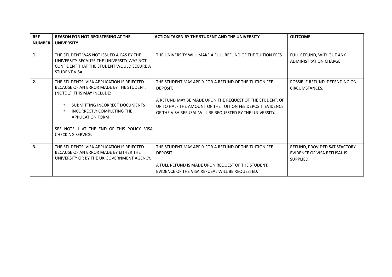| <b>REF</b>     | <b>REASON FOR NOT REGISTERING AT THE</b>                                                                                                                 | <b>ACTION TAKEN BY THE STUDENT AND THE UNIVERSITY</b>                                                                                                                              | <b>OUTCOME</b>                                                            |
|----------------|----------------------------------------------------------------------------------------------------------------------------------------------------------|------------------------------------------------------------------------------------------------------------------------------------------------------------------------------------|---------------------------------------------------------------------------|
| <b>NUMBER</b>  | <b>UNIVERSITY</b>                                                                                                                                        |                                                                                                                                                                                    |                                                                           |
| $\mathbf{1}$ . | THE STUDENT WAS NOT ISSUED A CAS BY THE<br>UNIVERSITY BECAUSE THE UNIVERSITY WAS NOT<br>CONFIDENT THAT THE STUDENT WOULD SECURE A<br><b>STUDENT VISA</b> | THE UNIVERSITY WILL MAKE A FULL REFUND OF THE TUITION FEES                                                                                                                         | FULL REFUND, WITHOUT ANY<br><b>ADMINISTRATION CHARGE</b>                  |
| 2.             | THE STUDENTS' VISA APPLICATION IS REJECTED<br>BECAUSE OF AN ERROR MADE BY THE STUDENT.<br>(NOTE 1) THIS MAY INCLUDE:                                     | THE STUDENT MAY APPLY FOR A REFUND OF THE TUITION FEE<br>DEPOSIT.                                                                                                                  | POSSIBLE REFUND, DEPENDING ON<br>CIRCUMSTANCES.                           |
|                | SUBMITTING INCORRECT DOCUMENTS<br>INCORRECTLY COMPLETING THE<br><b>APPLICATION FORM</b>                                                                  | A REFUND MAY BE MADE UPON THE REQUEST OF THE STUDENT, OF<br>UP TO HALF THE AMOUNT OF THE TUITION FEE DEPOSIT. EVIDENCE<br>OF THE VISA REFUSAL WILL BE REQUESTED BY THE UNIVERSITY. |                                                                           |
|                | SEE NOTE 1 AT THE END OF THIS POLICY: VISA<br><b>CHECKING SERVICE.</b>                                                                                   |                                                                                                                                                                                    |                                                                           |
| 3.             | THE STUDENTS' VISA APPLICATION IS REJECTED<br>BECAUSE OF AN ERROR MADE BY EITHER THE<br>UNIVERSITY OR BY THE UK GOVERNMENT AGENCY.                       | THE STUDENT MAY APPLY FOR A REFUND OF THE TUITION FEE<br>DEPOSIT.<br>A FULL REFUND IS MADE UPON REQUEST OF THE STUDENT.<br>EVIDENCE OF THE VISA REFUSAL WILL BE REQUESTED.         | REFUND, PROVIDED SATISFACTORY<br>EVIDENCE OF VISA REFUSAL IS<br>SUPPLIED. |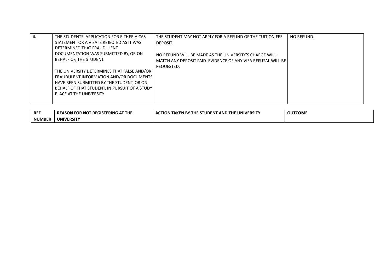| 4.<br>NO REFUND.<br>THE STUDENTS' APPLICATION FOR EITHER A CAS<br>THE STUDENT MAY NOT APPLY FOR A REFUND OF THE TUITION FEE<br>STATEMENT OR A VISA IS REJECTED AS IT WAS<br>DEPOSIT.<br>DETERMINED THAT FRAUDULENT<br>DOCUMENTATION WAS SUBMITTED BY, OR ON<br>NO REFUND WILL BE MADE AS THE UNIVERSITY'S CHARGE WILL<br>BEHALF OF, THE STUDENT.<br>MATCH ANY DEPOSIT PAID. EVIDENCE OF ANY VISA REFUSAL WILL BE<br>REQUESTED.<br>THE UNIVERSITY DETERMINES THAT FALSE AND/OR<br>FRAUDULENT INFORMATION AND/OR DOCUMENTS<br>HAVE BEEN SUBMITTED BY THE STUDENT, OR ON<br>BEHALF OF THAT STUDENT, IN PURSUIT OF A STUDY<br>PLACE AT THE UNIVERSITY. |  |
|----------------------------------------------------------------------------------------------------------------------------------------------------------------------------------------------------------------------------------------------------------------------------------------------------------------------------------------------------------------------------------------------------------------------------------------------------------------------------------------------------------------------------------------------------------------------------------------------------------------------------------------------------|--|
|----------------------------------------------------------------------------------------------------------------------------------------------------------------------------------------------------------------------------------------------------------------------------------------------------------------------------------------------------------------------------------------------------------------------------------------------------------------------------------------------------------------------------------------------------------------------------------------------------------------------------------------------------|--|

| REF           | <b>FREGISTERING AT THE</b><br><b>REASON FOR NOT</b> | <b>N TAKEN BY THE STUDENT .</b><br><b><i>I</i> AND THE UNIVERSITY</b><br><b>ACTION</b> | <b>OUTCOME</b> |
|---------------|-----------------------------------------------------|----------------------------------------------------------------------------------------|----------------|
| <b>NUMBER</b> | <b>UNIVERSITY</b>                                   |                                                                                        |                |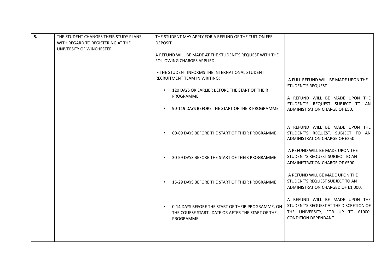| 5. | THE STUDENT CHANGES THEIR STUDY PLANS<br>WITH REGARD TO REGISTERING AT THE<br>UNIVERSITY OF WINCHESTER. | THE STUDENT MAY APPLY FOR A REFUND OF THE TUITION FEE<br>DEPOSIT.<br>A REFUND WILL BE MADE AT THE STUDENT'S REQUEST WITH THE<br>FOLLOWING CHARGES APPLIED.<br>IF THE STUDENT INFORMS THE INTERNATIONAL STUDENT<br><b>RECRUITMENT TEAM IN WRITING:</b><br>120 DAYS OR EARLIER BEFORE THE START OF THEIR<br>PROGRAMME<br>90-119 DAYS BEFORE THE START OF THEIR PROGRAMME<br>60-89 DAYS BEFORE THE START OF THEIR PROGRAMME | A FULL REFUND WILL BE MADE UPON THE<br>STUDENT'S REQUEST.<br>A REFUND WILL BE MADE UPON THE<br>STUDENT'S REQUEST SUBJECT TO AN<br>ADMINISTRATION CHARGE OF £50.<br>A REFUND WILL BE MADE UPON THE<br>STUDENT'S REQUEST, SUBJECT TO AN<br>ADMINISTRATION CHARGE OF £250.<br>A REFUND WILL BE MADE UPON THE<br>STUDENT'S REQUEST SUBJECT TO AN |
|----|---------------------------------------------------------------------------------------------------------|--------------------------------------------------------------------------------------------------------------------------------------------------------------------------------------------------------------------------------------------------------------------------------------------------------------------------------------------------------------------------------------------------------------------------|----------------------------------------------------------------------------------------------------------------------------------------------------------------------------------------------------------------------------------------------------------------------------------------------------------------------------------------------|
|    |                                                                                                         | 30-59 DAYS BEFORE THE START OF THEIR PROGRAMME<br>15-29 DAYS BEFORE THE START OF THEIR PROGRAMME<br>0-14 DAYS BEFORE THE START OF THEIR PROGRAMME, ON<br>THE COURSE START DATE OR AFTER THE START OF THE<br>PROGRAMME                                                                                                                                                                                                    | ADMINISTRATION CHARGE OF £500<br>A REFUND WILL BE MADE UPON THE<br>STUDENT'S REQUEST SUBJECT TO AN<br>ADMINISTRATION CHARGED OF £1,000.<br>A REFUND WILL BE MADE UPON THE<br>STUDENT'S REQUEST AT THE DISCRETION OF<br>THE UNIVERSITY, FOR UP TO £1000,<br>CONDITION DEPENDANT.                                                              |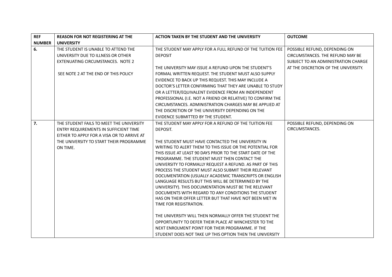| <b>REF</b>    | <b>REASON FOR NOT REGISTERING AT THE</b>   | ACTION TAKEN BY THE STUDENT AND THE UNIVERSITY                                                                | <b>OUTCOME</b>                       |
|---------------|--------------------------------------------|---------------------------------------------------------------------------------------------------------------|--------------------------------------|
| <b>NUMBER</b> | <b>UNIVERSITY</b>                          |                                                                                                               |                                      |
| 6.            | THE STUDENT IS UNABLE TO ATTEND THE        | THE STUDENT MAY APPLY FOR A FULL REFUND OF THE TUITION FEE                                                    | POSSIBLE REFUND, DEPENDING ON        |
|               | UNIVERSITY DUE TO ILLNESS OR OTHER         | <b>DEPOSIT</b>                                                                                                | CIRCUMSTANCES. THE REFUND MAY BE     |
|               | EXTENUATING CIRCUMSTANCES. NOTE 2          |                                                                                                               | SUBJECT TO AN ADMINISTRATION CHARGE  |
|               |                                            | THE UNIVERSITY MAY ISSUE A REFUND UPON THE STUDENT'S                                                          | AT THE DISCRETION OF THE UNIVERSITY. |
|               | SEE NOTE 2 AT THE END OF THIS POLICY       | FORMAL WRITTEN REQUEST. THE STUDENT MUST ALSO SUPPLY                                                          |                                      |
|               |                                            | EVIDENCE TO BACK UP THIS REQUEST. THIS MAY INCLUDE A                                                          |                                      |
|               |                                            | DOCTOR'S LETTER CONFIRMING THAT THEY ARE UNABLE TO STUDY                                                      |                                      |
|               |                                            | OR A LETTER/EQUIVALENT EVIDENCE FROM AN INDEPENDENT                                                           |                                      |
|               |                                            | PROFESSIONAL (I.E. NOT A FRIEND OR RELATIVE) TO CONFIRM THE                                                   |                                      |
|               |                                            | CIRCUMSTANCES. ADMINISTRATION CHARGES MAY BE APPLIED AT                                                       |                                      |
|               |                                            | THE DISCRETION OF THE UNIVERSITY DEPENDING ON THE                                                             |                                      |
|               |                                            | EVIDENCE SUBMITTED BY THE STUDENT.                                                                            |                                      |
| 7.            | THE STUDENT FAILS TO MEET THE UNIVERSITY   | THE STUDENT MAY APPLY FOR A REFUND OF THE TUITION FEE                                                         | POSSIBLE REFUND, DEPENDING ON        |
|               | ENTRY REQUIREMENTS IN SUFFICIENT TIME      | DEPOSIT.                                                                                                      | CIRCUMSTANCES.                       |
|               | EITHER TO APPLY FOR A VISA OR TO ARRIVE AT |                                                                                                               |                                      |
|               | THE UNIVERSITY TO START THEIR PROGRAMME    | THE STUDENT MUST HAVE CONTACTED THE UNIVERSITY IN                                                             |                                      |
|               | ON TIME.                                   | WRITING TO ALERT THEM TO THIS ISSUE OR THE POTENTIAL FOR                                                      |                                      |
|               |                                            | THIS ISSUE AT LEAST 90 DAYS PRIOR TO THE START DATE OF THE                                                    |                                      |
|               |                                            | PROGRAMME. THE STUDENT MUST THEN CONTACT THE                                                                  |                                      |
|               |                                            | UNIVERSITY TO FORMALLY REQUEST A REFUND. AS PART OF THIS                                                      |                                      |
|               |                                            | PROCESS THE STUDENT MUST ALSO SUBMIT THEIR RELEVANT                                                           |                                      |
|               |                                            | DOCUMENTATION (USUALLY ACADEMIC TRANSCRIPTS OR ENGLISH<br>LANGUAGE RESULTS BUT THIS WILL BE DETERMINED BY THE |                                      |
|               |                                            | UNIVERSITY). THIS DOCUMENTATION MUST BE THE RELEVANT                                                          |                                      |
|               |                                            | DOCUMENTS WITH REGARD TO ANY CONDITIONS THE STUDENT                                                           |                                      |
|               |                                            | HAS ON THEIR OFFER LETTER BUT THAT HAVE NOT BEEN MET IN                                                       |                                      |
|               |                                            | TIME FOR REGISTRATION.                                                                                        |                                      |
|               |                                            |                                                                                                               |                                      |
|               |                                            | THE UNIVERSITY WILL THEN NORMALLY OFFER THE STUDENT THE                                                       |                                      |
|               |                                            | OPPORTUNITY TO DEFER THEIR PLACE AT WINCHESTER TO THE                                                         |                                      |
|               |                                            | NEXT ENROLMENT POINT FOR THEIR PROGRAMME. IF THE                                                              |                                      |
|               |                                            | STUDENT DOES NOT TAKE UP THIS OPTION THEN THE UNIVERSITY                                                      |                                      |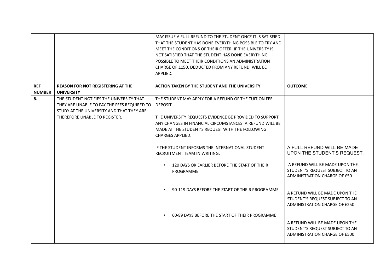|               |                                                                                                                                                                       | MAY ISSUE A FULL REFUND TO THE STUDENT ONCE IT IS SATISFIED<br>THAT THE STUDENT HAS DONE EVERYTHING POSSIBLE TO TRY AND<br>MEET THE CONDITIONS OF THEIR OFFER. IF THE UNIVERSITY IS<br>NOT SATISFIED THAT THE STUDENT HAS DONE EVERYTHING<br>POSSIBLE TO MEET THEIR CONDITIONS AN ADMINISTRATION<br>CHARGE OF £150, DEDUCTED FROM ANY REFUND, WILL BE<br>APPLIED. |                                                                                                     |
|---------------|-----------------------------------------------------------------------------------------------------------------------------------------------------------------------|-------------------------------------------------------------------------------------------------------------------------------------------------------------------------------------------------------------------------------------------------------------------------------------------------------------------------------------------------------------------|-----------------------------------------------------------------------------------------------------|
| <b>REF</b>    | <b>REASON FOR NOT REGISTERING AT THE</b>                                                                                                                              | ACTION TAKEN BY THE STUDENT AND THE UNIVERSITY                                                                                                                                                                                                                                                                                                                    | <b>OUTCOME</b>                                                                                      |
| <b>NUMBER</b> | <b>UNIVERSITY</b>                                                                                                                                                     |                                                                                                                                                                                                                                                                                                                                                                   |                                                                                                     |
| 8.            | THE STUDENT NOTIFIES THE UNIVERSITY THAT<br>THEY ARE UNABLE TO PAY THE FEES REQUIRED TO<br>STUDY AT THE UNIVERSITY AND THAT THEY ARE<br>THEREFORE UNABLE TO REGISTER. | THE STUDENT MAY APPLY FOR A REFUND OF THE TUITION FEE<br>DEPOSIT.<br>THE UNIVERSITY REQUESTS EVIDENCE BE PROVIDED TO SUPPORT<br>ANY CHANGES IN FINANCIAL CIRCUMSTANCES. A REFUND WILL BE<br>MADE AT THE STUDENT'S REQUEST WITH THE FOLLOWING<br><b>CHARGES APPLIED:</b>                                                                                           |                                                                                                     |
|               |                                                                                                                                                                       | IF THE STUDENT INFORMS THE INTERNATIONAL STUDENT<br><b>RECRUITMENT TEAM IN WRITING:</b>                                                                                                                                                                                                                                                                           | A FULL REFUND WILL BE MADE<br>UPON THE STUDENT'S REQUEST.                                           |
|               |                                                                                                                                                                       | 120 DAYS OR EARLIER BEFORE THE START OF THEIR<br>$\bullet$<br>PROGRAMME                                                                                                                                                                                                                                                                                           | A REFUND WILL BE MADE UPON THE<br>STUDENT'S REQUEST SUBJECT TO AN<br>ADMINISTRATION CHARGE OF £50   |
|               |                                                                                                                                                                       | 90-119 DAYS BEFORE THE START OF THEIR PROGRAMME<br>$\bullet$                                                                                                                                                                                                                                                                                                      | A REFUND WILL BE MADE UPON THE<br>STUDENT'S REQUEST SUBJECT TO AN<br>ADMINISTRATION CHARGE OF £250  |
|               |                                                                                                                                                                       | 60-89 DAYS BEFORE THE START OF THEIR PROGRAMME<br>$\bullet$                                                                                                                                                                                                                                                                                                       | A REFUND WILL BE MADE UPON THE<br>STUDENT'S REQUEST SUBJECT TO AN<br>ADMINISTRATION CHARGE OF £500. |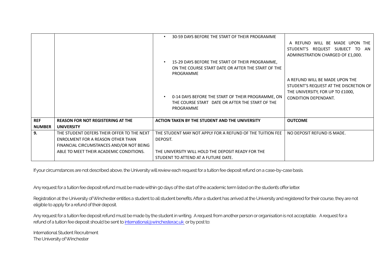|                             |                                                                                                                                                                        | 30-59 DAYS BEFORE THE START OF THEIR PROGRAMME<br>$\bullet$                                                                                                        | A REFUND WILL BE MADE UPON THE<br>STUDENT'S REQUEST SUBJECT TO AN                                                                           |
|-----------------------------|------------------------------------------------------------------------------------------------------------------------------------------------------------------------|--------------------------------------------------------------------------------------------------------------------------------------------------------------------|---------------------------------------------------------------------------------------------------------------------------------------------|
|                             |                                                                                                                                                                        | 15-29 DAYS BEFORE THE START OF THEIR PROGRAMME,<br>ON THE COURSE START DATE OR AFTER THE START OF THE<br>PROGRAMME                                                 | ADMINISTRATION CHARGED OF £1,000.                                                                                                           |
|                             |                                                                                                                                                                        | 0-14 DAYS BEFORE THE START OF THEIR PROGRAMME, ON<br>THE COURSE START DATE OR AFTER THE START OF THE<br>PROGRAMME                                                  | A REFUND WILL BE MADE UPON THE<br>STUDENT'S REQUEST AT THE DISCRETION OF<br>THE UNIVERSITY, FOR UP TO £1000,<br><b>CONDITION DEPENDANT.</b> |
| <b>REF</b><br><b>NUMBER</b> | <b>REASON FOR NOT REGISTERING AT THE</b><br><b>UNIVERSITY</b>                                                                                                          | ACTION TAKEN BY THE STUDENT AND THE UNIVERSITY                                                                                                                     | <b>OUTCOME</b>                                                                                                                              |
| 9.                          | THE STUDENT DEFERS THEIR OFFER TO THE NEXT<br>ENROLMENT FOR A REASON OTHER THAN<br>FINANCIAL CIRCUMSTANCES AND/OR NOT BEING<br>ABLE TO MEET THEIR ACADEMIC CONDITIONS. | THE STUDENT MAY NOT APPLY FOR A REFUND OF THE TUITION FEE<br>DEPOSIT.<br>THE UNIVERSITY WILL HOLD THE DEPOSIT READY FOR THE<br>STUDENT TO ATTEND AT A FUTURE DATE. | NO DEPOSIT REFUND IS MADE.                                                                                                                  |

If your circumstances are not described above, the University will review each request for a tuition fee deposit refund on a case-by-case basis.

Any request for a tuition fee deposit refund must be made within 90 days of the start of the academic term listed on the student's offer letter.

Registration at the University of Winchester entitles a student to all student benefits. After a student has arrived at the University and registered for their course, they are not eligible to apply for a refund of their deposit.

Any request for a tuition fee deposit refund must be made by the student in writing. A request from another person or organisation is not acceptable. A request for a refund of a tuition fee deposit should be sent t[o international@winchester.ac.uk](mailto:international@winchester.ac.uk) or by post to:

International Student Recruitment The University of Winchester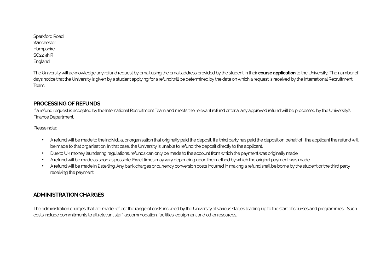Sparkford Road **Winchester** Hampshire SO22 4NR England

The University will acknowledge any refund request by email using the email address provided by the student in their **course application**to the University. The number of days notice that the University is given by a student applying for a refund will be determined by the date on which a request is received by the International Recruitment Team.

## **PROCESSING OF REFUNDS**

If a refund request is accepted by the International Recruitment Team and meets the relevant refund criteria, any approved refund will be processed by the University's Finance Department.

Please note:

- A refund will be made to the individual or organisation that originally paid the deposit. If a third party has paid the deposit on behalf of the applicant the refund will be made to that organisation. In that case, the University is unable to refund the deposit directly to the applicant.
- Due to UK money laundering regulations, refunds can only be made to the account fromwhich the payment was originally made.
- A refund will be made as soon as possible. Exact times may vary depending upon the method by which the original payment was made.
- A refund will be made in £ sterling. Any bank charges or currency conversion costs incurred in making a refund shall be borne by the student or the third party receiving the payment.

# **ADMINISTRATION CHARGES**

The administration charges that are made reflect the range of costs incurred by the University at various stages leading up to the start of courses and programmes. Such costs include commitments to all relevant staff, accommodation, facilities, equipment and other resources.